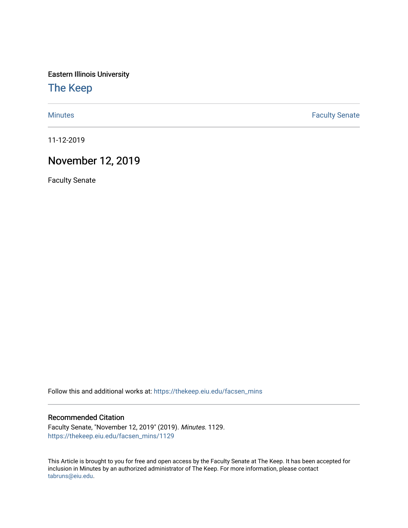Eastern Illinois University

[The Keep](https://thekeep.eiu.edu/) 

[Minutes](https://thekeep.eiu.edu/facsen_mins) **Faculty Senate** 

11-12-2019

# November 12, 2019

Faculty Senate

Follow this and additional works at: [https://thekeep.eiu.edu/facsen\\_mins](https://thekeep.eiu.edu/facsen_mins?utm_source=thekeep.eiu.edu%2Ffacsen_mins%2F1129&utm_medium=PDF&utm_campaign=PDFCoverPages) 

#### Recommended Citation

Faculty Senate, "November 12, 2019" (2019). Minutes. 1129. [https://thekeep.eiu.edu/facsen\\_mins/1129](https://thekeep.eiu.edu/facsen_mins/1129?utm_source=thekeep.eiu.edu%2Ffacsen_mins%2F1129&utm_medium=PDF&utm_campaign=PDFCoverPages) 

This Article is brought to you for free and open access by the Faculty Senate at The Keep. It has been accepted for inclusion in Minutes by an authorized administrator of The Keep. For more information, please contact [tabruns@eiu.edu.](mailto:tabruns@eiu.edu)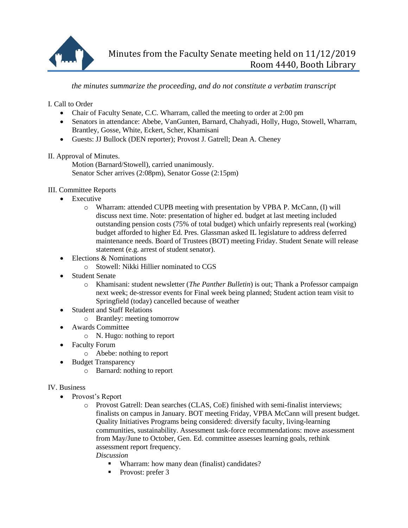

## *the minutes summarize the proceeding, and do not constitute a verbatim transcript*

## I. Call to Order

- Chair of Faculty Senate, C.C. Wharram, called the meeting to order at 2:00 pm
- Senators in attendance: Abebe, VanGunten, Barnard, Chahyadi, Holly, Hugo, Stowell, Wharram, Brantley, Gosse, White, Eckert, Scher, Khamisani
- Guests: JJ Bullock (DEN reporter); Provost J. Gatrell; Dean A. Cheney

### II. Approval of Minutes.

Motion (Barnard/Stowell), carried unanimously. Senator Scher arrives (2:08pm), Senator Gosse (2:15pm)

### III. Committee Reports

- Executive
	- o Wharram: attended CUPB meeting with presentation by VPBA P. McCann, (I) will discuss next time. Note: presentation of higher ed. budget at last meeting included outstanding pension costs (75% of total budget) which unfairly represents real (working) budget afforded to higher Ed. Pres. Glassman asked IL legislature to address deferred maintenance needs. Board of Trustees (BOT) meeting Friday. Student Senate will release statement (e.g. arrest of student senator).
- Elections & Nominations
	- o Stowell: Nikki Hillier nominated to CGS
- Student Senate
	- o Khamisani: student newsletter (*The Panther Bulletin*) is out; Thank a Professor campaign next week; de-stressor events for Final week being planned; Student action team visit to Springfield (today) cancelled because of weather
- Student and Staff Relations
	- o Brantley: meeting tomorrow
- Awards Committee
	- o N. Hugo: nothing to report
- Faculty Forum
	- o Abebe: nothing to report
- Budget Transparency
	- o Barnard: nothing to report

### IV. Business

- Provost's Report
	- o Provost Gatrell: Dean searches (CLAS, CoE) finished with semi-finalist interviews; finalists on campus in January. BOT meeting Friday, VPBA McCann will present budget. Quality Initiatives Programs being considered: diversify faculty, living-learning communities, sustainability. Assessment task-force recommendations: move assessment from May/June to October, Gen. Ed. committee assesses learning goals, rethink assessment report frequency.

*Discussion*

- Wharram: how many dean (finalist) candidates?
- Provost: prefer 3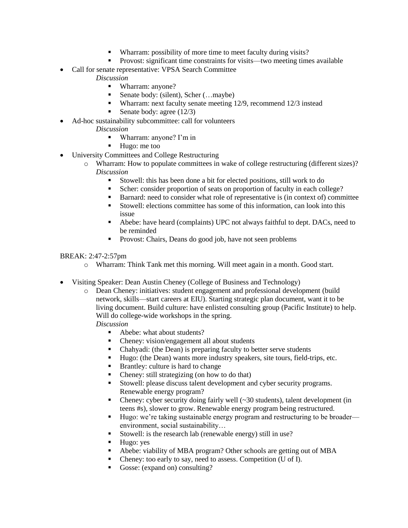- Wharram: possibility of more time to meet faculty during visits?
- Provost: significant time constraints for visits—two meeting times available
- Call for senate representative: VPSA Search Committee
	- *Discussion*
		- Wharram: anyone?
		- Senate body: (silent), Scher (…maybe)
		- Wharram: next faculty senate meeting 12/9, recommend 12/3 instead
		- Senate body: agree (12/3)
- Ad-hoc sustainability subcommittee: call for volunteers
	- *Discussion*
		- Wharram: anyone? I'm in
		- Hugo: me too
- University Committees and College Restructuring
	- o Wharram: How to populate committees in wake of college restructuring (different sizes)? *Discussion*
		- Stowell: this has been done a bit for elected positions, still work to do
		- Scher: consider proportion of seats on proportion of faculty in each college?
		- Barnard: need to consider what role of representative is (in context of) committee
		- Stowell: elections committee has some of this information, can look into this issue
		- Abebe: have heard (complaints) UPC not always faithful to dept. DACs, need to be reminded
		- **Provost:** Chairs, Deans do good job, have not seen problems

#### BREAK: 2:47-2:57pm

- o Wharram: Think Tank met this morning. Will meet again in a month. Good start.
- Visiting Speaker: Dean Austin Cheney (College of Business and Technology)
	- o Dean Cheney: initiatives: student engagement and professional development (build network, skills—start careers at EIU). Starting strategic plan document, want it to be living document. Build culture: have enlisted consulting group (Pacific Institute) to help. Will do college-wide workshops in the spring.

#### *Discussion*

- Abebe: what about students?
- Cheney: vision/engagement all about students
- Chahyadi: (the Dean) is preparing faculty to better serve students
- Hugo: (the Dean) wants more industry speakers, site tours, field-trips, etc.
- **Brantley: culture is hard to change**
- Cheney: still strategizing (on how to do that)
- Stowell: please discuss talent development and cyber security programs. Renewable energy program?
- Cheney: cyber security doing fairly well  $(\sim 30 \text{ students})$ , talent development (in teens #s), slower to grow. Renewable energy program being restructured.
- Hugo: we're taking sustainable energy program and restructuring to be broader environment, social sustainability…
- Stowell: is the research lab (renewable energy) still in use?
- $\blacksquare$  Hugo: yes
- Abebe: viability of MBA program? Other schools are getting out of MBA
- Cheney: too early to say, need to assess. Competition (U of I).
- Gosse: (expand on) consulting?